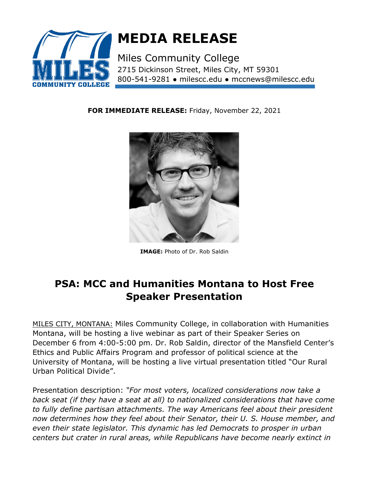

## **MEDIA RELEASE**

Miles Community College [2715 Dickinson Street, Miles City, MT 59301](https://www.bing.com/maps?&ty=18&q=Miles%20Community%20College&satid=id.sid%3a5745b4a3-d5b8-a699-51a2-35608c1abe2a&ppois=46.40454864501953_-105.82659149169922_Miles%20Community%20College_~&cp=46.404549~-105.826591&v=2&sV=1) 800-541-9281 ● milescc.edu ● mccnews@milescc.edu

**FOR IMMEDIATE RELEASE:** Friday, November 22, 2021



**IMAGE:** Photo of Dr. Rob Saldin

## **PSA: MCC and Humanities Montana to Host Free Speaker Presentation**

MILES CITY, MONTANA: Miles Community College, in collaboration with Humanities Montana, will be hosting a live webinar as part of their Speaker Series on December 6 from 4:00-5:00 pm. Dr. Rob Saldin, director of the Mansfield Center's Ethics and Public Affairs Program and professor of political science at the University of Montana, will be hosting a live virtual presentation titled "Our Rural Urban Political Divide".

Presentation description: *"For most voters, localized considerations now take a back seat (if they have a seat at all) to nationalized considerations that have come to fully define partisan attachments. The way Americans feel about their president now determines how they feel about their Senator, their U. S. House member, and even their state legislator. This dynamic has led Democrats to prosper in urban centers but crater in rural areas, while Republicans have become nearly extinct in*